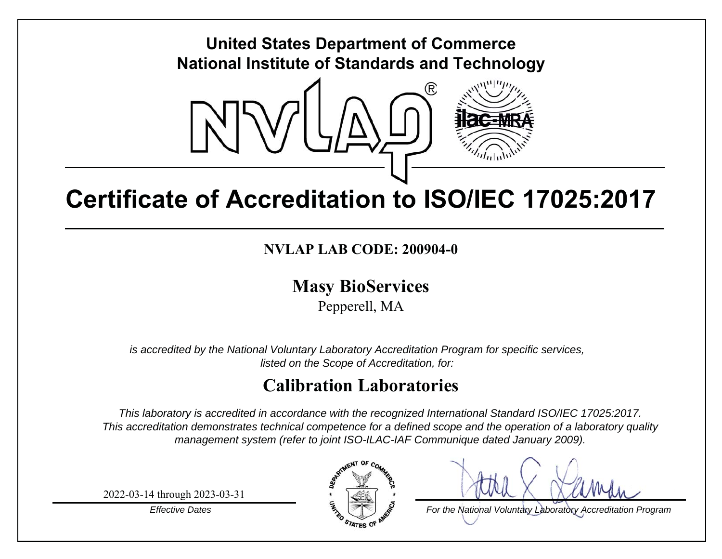## **United States Department of Commerce National Institute of Standards and Technology**



# **Certificate of Accreditation to ISO/IEC 17025:2017**

## **NVLAP LAB CODE: 200904-0**

**Mas y BioServices**

Pepperell, MA

*is accredited by the National Voluntary Laboratory Accreditation Program for specific services, listed on the Scope of Accreditation, for:*

## **Calibration Laboratories**

*This laboratory is accredited in accordance with the recognized International Standard ISO/IEC 17025:2017. This accreditation demonstrates technical competence for a defined scope and the operation of a laboratory quality management system (refer to joint ISO-ILAC-IAF Communique dated January 2009).*

2022-03-14 through 2023-03-31

*Effective Dates*



*For the National Voluntary Laboratory Accreditation Program*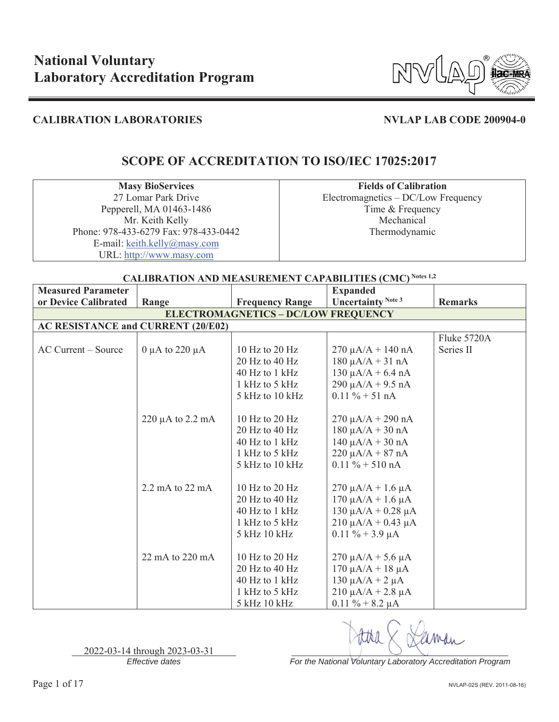

## **SCOPE OF ACCREDITATION TO ISO/IEC 17025:2017**

**Masy BioServices**  27 Lomar Park Drive Pepperell, MA 01463-1486 Mr. Keith Kelly Phone: 978-433-6279 Fax: 978-433-0442 E-mail: keith.kelly@masy.com URL: http://www.masy.com

**Fields of Calibration**  Electromagnetics – DC/Low Frequency Time & Frequency Mechanical Thermodynamic

### **CALIBRATION AND MEASUREMENT CAPABILITIES (CMC) Notes 1,2**

| <b>Measured Parameter</b>                 |                                            |                        | <b>Expanded</b>                |                |  |  |
|-------------------------------------------|--------------------------------------------|------------------------|--------------------------------|----------------|--|--|
| or Device Calibrated                      | Range                                      | <b>Frequency Range</b> | <b>Uncertainty Note 3</b>      | <b>Remarks</b> |  |  |
|                                           | <b>ELECTROMAGNETICS - DC/LOW FREQUENCY</b> |                        |                                |                |  |  |
| <b>AC RESISTANCE and CURRENT (20/E02)</b> |                                            |                        |                                |                |  |  |
|                                           |                                            |                        |                                | Fluke 5720A    |  |  |
| AC Current – Source                       | 0 $\mu$ A to 220 $\mu$ A                   | 10 Hz to 20 Hz         | $270 \mu A/A + 140 nA$         | Series II      |  |  |
|                                           |                                            | 20 Hz to 40 Hz         | $180 \mu A/A + 31 nA$          |                |  |  |
|                                           |                                            | 40 Hz to 1 kHz         | $130 \mu A/A + 6.4 \text{ nA}$ |                |  |  |
|                                           |                                            | 1 kHz to 5 kHz         | $290 \mu A/A + 9.5 \text{ nA}$ |                |  |  |
|                                           |                                            | 5 kHz to 10 kHz        | $0.11 \% + 51 nA$              |                |  |  |
|                                           |                                            |                        |                                |                |  |  |
|                                           | $220 \mu A$ to $2.2 \text{ mA}$            | 10 Hz to 20 Hz         | $270 \mu A/A + 290 nA$         |                |  |  |
|                                           |                                            | 20 Hz to 40 Hz         | $180 \mu A/A + 30 nA$          |                |  |  |
|                                           |                                            | 40 Hz to 1 kHz         | $140 \mu A/A + 30 nA$          |                |  |  |
|                                           |                                            | 1 kHz to 5 kHz         | $220 \mu A/A + 87 \ nA$        |                |  |  |
|                                           |                                            | 5 kHz to 10 kHz        | $0.11 \% + 510 nA$             |                |  |  |
|                                           |                                            |                        |                                |                |  |  |
|                                           | 2.2 mA to 22 mA                            | 10 Hz to 20 Hz         | $270 \mu A/A + 1.6 \mu A$      |                |  |  |
|                                           |                                            | 20 Hz to 40 Hz         | $170 \mu A/A + 1.6 \mu A$      |                |  |  |
|                                           |                                            | 40 Hz to 1 kHz         | $130 \mu A/A + 0.28 \mu A$     |                |  |  |
|                                           |                                            | 1 kHz to 5 kHz         | $210 \mu A/A + 0.43 \mu A$     |                |  |  |
|                                           |                                            | 5 kHz 10 kHz           | $0.11 \% + 3.9 \mu A$          |                |  |  |
|                                           |                                            |                        |                                |                |  |  |
|                                           | 22 mA to 220 mA                            | 10 Hz to $20$ Hz       | $270 \mu A/A + 5.6 \mu A$      |                |  |  |
|                                           |                                            | 20 Hz to 40 Hz         | $170 \mu A/A + 18 \mu A$       |                |  |  |
|                                           |                                            | 40 Hz to 1 kHz         | 130 μA/A + 2 μA                |                |  |  |
|                                           |                                            | 1 kHz to 5 kHz         | $210 \mu A/A + 2.8 \mu A$      |                |  |  |
|                                           |                                            | 5 kHz 10 kHz           | $0.11 \% + 8.2 \mu A$          |                |  |  |

2022-03-14 through 2023-03-31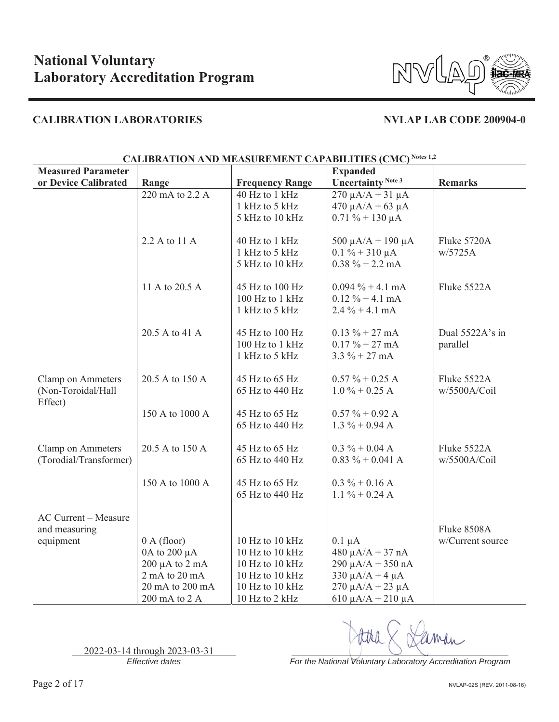

| <b>Measured Parameter</b>   |                          | $\alpha$ . The determination of $\alpha$ is the set of $\alpha$ in $\alpha$ in $\alpha$ in $\alpha$ in $\alpha$ | <b>Expanded</b>             |                  |
|-----------------------------|--------------------------|-----------------------------------------------------------------------------------------------------------------|-----------------------------|------------------|
| or Device Calibrated        | Range                    | <b>Frequency Range</b>                                                                                          | <b>Uncertainty Note 3</b>   | <b>Remarks</b>   |
|                             | 220 mA to 2.2 A          | 40 Hz to 1 kHz                                                                                                  | $270 \mu A/A + 31 \mu A$    |                  |
|                             |                          | 1 kHz to 5 kHz                                                                                                  | $470 \mu A/A + 63 \mu A$    |                  |
|                             |                          | 5 kHz to 10 kHz                                                                                                 | $0.71 \% + 130 \mu A$       |                  |
|                             |                          |                                                                                                                 |                             |                  |
|                             | 2.2 A to 11 A            | 40 Hz to 1 kHz                                                                                                  | 500 $\mu$ A/A + 190 $\mu$ A | Fluke 5720A      |
|                             |                          | 1 kHz to 5 kHz                                                                                                  | $0.1 \% + 310 \mu A$        | w/5725A          |
|                             |                          | 5 kHz to 10 kHz                                                                                                 | $0.38 \% + 2.2 mA$          |                  |
|                             |                          |                                                                                                                 |                             |                  |
|                             | 11 A to 20.5 A           | 45 Hz to 100 Hz                                                                                                 | $0.094\% + 4.1 \text{ mA}$  | Fluke 5522A      |
|                             |                          | 100 Hz to 1 kHz                                                                                                 | $0.12 \% + 4.1 mA$          |                  |
|                             |                          | 1 kHz to 5 kHz                                                                                                  | $2.4\% + 4.1 \text{ mA}$    |                  |
|                             |                          |                                                                                                                 |                             |                  |
|                             | 20.5 A to 41 A           | 45 Hz to 100 Hz                                                                                                 | $0.13 \% + 27 mA$           | Dual 5522A's in  |
|                             |                          | 100 Hz to 1 kHz                                                                                                 | $0.17 \% + 27 mA$           | parallel         |
|                             |                          | 1 kHz to 5 kHz                                                                                                  | $3.3 \% + 27 mA$            |                  |
|                             |                          |                                                                                                                 |                             |                  |
| Clamp on Ammeters           | 20.5 A to 150 A          | 45 Hz to 65 Hz                                                                                                  | $0.57 \% + 0.25 A$          | Fluke 5522A      |
| (Non-Toroidal/Hall          |                          | 65 Hz to 440 Hz                                                                                                 | $1.0\% + 0.25$ A            | w/5500A/Coil     |
| Effect)                     |                          |                                                                                                                 |                             |                  |
|                             | 150 A to 1000 A          | 45 Hz to 65 Hz                                                                                                  | $0.57 \% + 0.92 A$          |                  |
|                             |                          | 65 Hz to 440 Hz                                                                                                 | $1.3 \% + 0.94 A$           |                  |
|                             |                          |                                                                                                                 |                             |                  |
| Clamp on Ammeters           | 20.5 A to 150 A          | 45 Hz to 65 Hz                                                                                                  | $0.3 \% + 0.04 A$           | Fluke 5522A      |
| (Torodial/Transformer)      |                          | 65 Hz to 440 Hz                                                                                                 | $0.83 \% + 0.041 A$         | w/5500A/Coil     |
|                             |                          |                                                                                                                 |                             |                  |
|                             | 150 A to 1000 A          | 45 Hz to 65 Hz                                                                                                  | $0.3 \% + 0.16 A$           |                  |
|                             |                          | 65 Hz to 440 Hz                                                                                                 | 1.1 $% + 0.24$ A            |                  |
|                             |                          |                                                                                                                 |                             |                  |
| <b>AC Current - Measure</b> |                          |                                                                                                                 |                             |                  |
| and measuring               |                          |                                                                                                                 |                             | Fluke 8508A      |
| equipment                   | 0 A (floor)              | 10 Hz to 10 kHz                                                                                                 | $0.1 \mu A$                 | w/Current source |
|                             | 0A to 200 μA             | 10 Hz to 10 kHz                                                                                                 | $480 \mu A/A + 37 nA$       |                  |
|                             | $200 \mu A$ to $2 \mu A$ | 10 Hz to 10 kHz                                                                                                 | $290 \mu A/A + 350 nA$      |                  |
|                             | 2 mA to 20 mA            | 10 Hz to 10 kHz                                                                                                 | $330 \mu A/A + 4 \mu A$     |                  |
|                             | 20 mA to 200 mA          | 10 Hz to 10 kHz                                                                                                 | $270 \mu A/A + 23 \mu A$    |                  |
|                             | 200 mA to 2 A            | 10 Hz to 2 kHz                                                                                                  | $610 \mu A/A + 210 \mu A$   |                  |

### **CALIBRATION AND MEASUREMENT CAPABILITIES (CMC) Notes 1,2**

2022-03-14 through 2023-03-31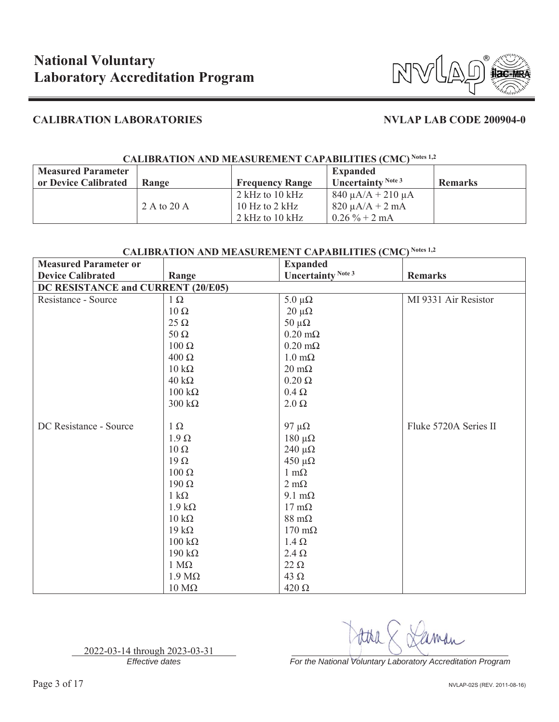

## **CALIBRATION AND MEASUREMENT CAPABILITIES (CMC) Notes 1,2**

| <b>Measured Parameter</b> |             |                        | <b>Expanded</b>             |                |
|---------------------------|-------------|------------------------|-----------------------------|----------------|
| or Device Calibrated      | Range       | <b>Frequency Range</b> | <b>Uncertainty</b> Note $3$ | <b>Remarks</b> |
|                           |             | 2 kHz to 10 kHz        | $840 \mu A/A + 210 \mu A$   |                |
|                           | 2 A to 20 A | 10 Hz to $2$ kHz       | $820 \mu A/A + 2 mA$        |                |
|                           |             | $2$ kHz to $10$ kHz    | $0.26\% + 2 \text{ mA}$     |                |

## **CALIBRATION AND MEASUREMENT CAPABILITIES (CMC) Notes 1,2**

| <b>Measured Parameter or</b>       |                        | <b>Expanded</b>           |                       |
|------------------------------------|------------------------|---------------------------|-----------------------|
| <b>Device Calibrated</b>           | Range                  | <b>Uncertainty Note 3</b> | <b>Remarks</b>        |
| DC RESISTANCE and CURRENT (20/E05) |                        |                           |                       |
| Resistance - Source                | $1 \Omega$             | $5.0 \mu\Omega$           | MI 9331 Air Resistor  |
|                                    | $10\ \Omega$           | $20 \mu\Omega$            |                       |
|                                    | $25 \Omega$            | $50 \mu\Omega$            |                       |
|                                    | $50 \Omega$            | $0.20 \text{ m}\Omega$    |                       |
|                                    | $100 \Omega$           | $0.20 \text{ m}\Omega$    |                       |
|                                    | $400 \Omega$           | $1.0 \text{ m}\Omega$     |                       |
|                                    | $10 \text{ k}\Omega$   | $20 \text{ m}\Omega$      |                       |
|                                    | $40 \text{ k}\Omega$   | $0.20 \Omega$             |                       |
|                                    | $100 \text{ k}\Omega$  | $0.4\ \Omega$             |                       |
|                                    | $300 k\Omega$          | $2.0 \Omega$              |                       |
|                                    |                        |                           |                       |
| DC Resistance - Source             | $1 \Omega$             | 97 μ $\Omega$             | Fluke 5720A Series II |
|                                    | $1.9 \Omega$           | $180 \mu\Omega$           |                       |
|                                    | $10 \Omega$            | $240 \muΩ$                |                       |
|                                    | $19\Omega$             | $450 \mu\Omega$           |                       |
|                                    | $100 \Omega$           | $1 \text{ m}\Omega$       |                       |
|                                    | $190 \Omega$           | $2 \text{ m}\Omega$       |                       |
|                                    | $1 \text{ k}\Omega$    | $9.1 \text{ m}\Omega$     |                       |
|                                    | $1.9 \text{ k}\Omega$  | $17 \text{ mA}$           |                       |
|                                    | $10 \text{ k}\Omega$   | $88 \text{ m}\Omega$      |                       |
|                                    | $19 k\Omega$           | $170 \text{ m}\Omega$     |                       |
|                                    | $100 \text{ k}\Omega$  | $1.4 \Omega$              |                       |
|                                    | 190 k $\Omega$         | $2.4 \Omega$              |                       |
|                                    | $1 M\Omega$            | $22 \Omega$               |                       |
|                                    | $1.9 M\Omega$          | 43 $\Omega$               |                       |
|                                    | $10\ \mathrm{M}\Omega$ | $420 \Omega$              |                       |

2022-03-14 through 2023-03-31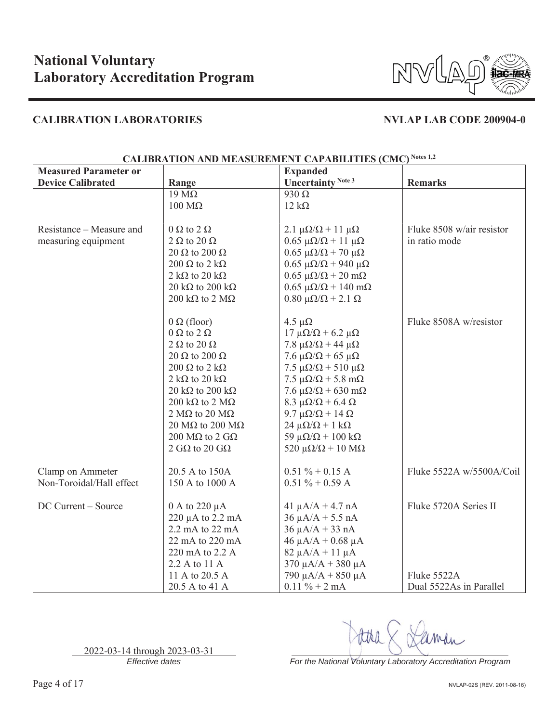

| <b>Measured Parameter or</b> |                                                | <b>Expanded</b>                                            |                           |
|------------------------------|------------------------------------------------|------------------------------------------------------------|---------------------------|
| <b>Device Calibrated</b>     | Range                                          | <b>Uncertainty Note 3</b>                                  | <b>Remarks</b>            |
|                              | $19 \text{ M}\Omega$                           | $930 \Omega$                                               |                           |
|                              | $100 \text{ M}\Omega$                          | $12 k\Omega$                                               |                           |
|                              |                                                |                                                            |                           |
| Resistance – Measure and     | $0 \Omega$ to $2 \Omega$                       | $2.1 \mu\Omega/\Omega + 11 \mu\Omega$                      | Fluke 8508 w/air resistor |
| measuring equipment          | 2 $\Omega$ to 20 $\Omega$                      | $0.65 \mu\Omega/\Omega + 11 \mu\Omega$                     | in ratio mode             |
|                              | 20 $\Omega$ to 200 $\Omega$                    | $0.65 \mu\Omega/\Omega + 70 \mu\Omega$                     |                           |
|                              | $200 \Omega$ to $2 k\Omega$                    | $0.65 \mu\Omega/\Omega + 940 \mu\Omega$                    |                           |
|                              | 2 k $\Omega$ to 20 k $\Omega$                  | $0.65 \mu\Omega/\Omega + 20 \mu\Omega$                     |                           |
|                              | 20 k $\Omega$ to 200 k $\Omega$                | $0.65 \mu\Omega/\Omega + 140 \text{ m}\Omega$              |                           |
|                              | 200 k $\Omega$ to 2 M $\Omega$                 | $0.80$ μ $\Omega/\Omega$ + 2.1 Ω                           |                           |
|                              |                                                |                                                            | Fluke 8508A w/resistor    |
|                              | $0 \Omega$ (floor)<br>$0 \Omega$ to $2 \Omega$ | 4.5 $\mu\Omega$<br>$17 \mu\Omega/\Omega$ + 6.2 $\mu\Omega$ |                           |
|                              | $2 \Omega$ to $20 \Omega$                      | 7.8 $\mu\Omega/\Omega$ + 44 $\mu\Omega$                    |                           |
|                              | 20 $\Omega$ to 200 $\Omega$                    | 7.6 $\mu\Omega/\Omega$ + 65 $\mu\Omega$                    |                           |
|                              | $200 \Omega$ to $2 k\Omega$                    | $7.5 \mu\Omega/\Omega + 510 \mu\Omega$                     |                           |
|                              | 2 k $\Omega$ to 20 k $\Omega$                  | $7.5 \mu\Omega/\Omega$ + 5.8 m $\Omega$                    |                           |
|                              | 20 k $\Omega$ to 200 k $\Omega$                | $7.6 \mu\Omega/\Omega$ + 630 m $\Omega$                    |                           |
|                              | 200 k $\Omega$ to 2 M $\Omega$                 | 8.3 $\mu\Omega/\Omega$ + 6.4 $\Omega$                      |                           |
|                              | 2 M $\Omega$ to 20 M $\Omega$                  | 9.7 μ $\Omega/\Omega$ + 14 $\Omega$                        |                           |
|                              | $20 \text{ M}\Omega$ to $200 \text{ M}\Omega$  | $24 \mu\Omega/\Omega + 1 k\Omega$                          |                           |
|                              | 200 M $\Omega$ to 2 G $\Omega$                 | 59 $\mu\Omega/\Omega$ + 100 k $\Omega$                     |                           |
|                              | 2 G $\Omega$ to 20 G $\Omega$                  | 520 $\mu\Omega/\Omega$ + 10 M $\Omega$                     |                           |
|                              |                                                |                                                            |                           |
| Clamp on Ammeter             | 20.5 A to 150A                                 | $0.51 \% + 0.15 A$                                         | Fluke 5522A w/5500A/Coil  |
| Non-Toroidal/Hall effect     | 150 A to 1000 A                                | $0.51 \% + 0.59 A$                                         |                           |
| DC Current - Source          | 0 A to 220 μA                                  | $41 \mu A/A + 4.7 nA$                                      | Fluke 5720A Series II     |
|                              | 220 µA to 2.2 mA                               | $36 \mu A/A + 5.5 nA$                                      |                           |
|                              | 2.2 mA to 22 mA                                | $36 \mu A/A + 33 nA$                                       |                           |
|                              | 22 mA to 220 mA                                | $46 \mu A/A + 0.68 \mu A$                                  |                           |
|                              | 220 mA to 2.2 A                                | $82 \mu A/A + 11 \mu A$                                    |                           |
|                              | 2.2 A to 11 A                                  | $370 \mu A/A + 380 \mu A$                                  |                           |
|                              | 11 A to 20.5 A                                 | 790 μA/A + 850 μA                                          | Fluke 5522A               |
|                              | 20.5 A to 41 A                                 | $0.11 \% + 2 mA$                                           | Dual 5522As in Parallel   |

## **CALIBRATION AND MEASUREMENT CAPABILITIES (CMC) Notes 1,2**

2022-03-14 through 2023-03-31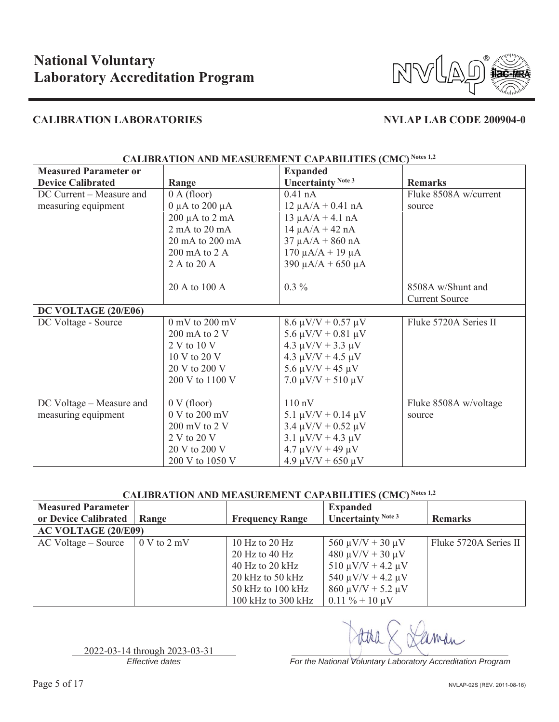

|                              | CALIBRATION AND MEASUREMENT CAPABILITIES (CMC) |                              |                       |  |  |
|------------------------------|------------------------------------------------|------------------------------|-----------------------|--|--|
| <b>Measured Parameter or</b> |                                                | <b>Expanded</b>              |                       |  |  |
| <b>Device Calibrated</b>     | Range                                          | Uncertainty Note 3           | <b>Remarks</b>        |  |  |
| DC Current - Measure and     | 0 A (floor)                                    | $0.41$ nA                    | Fluke 8508A w/current |  |  |
| measuring equipment          | $0 \mu A$ to 200 $\mu A$                       | $12 \mu A/A + 0.41 nA$       | source                |  |  |
|                              | $200 \mu A$ to $2 \mu A$                       | $13 \mu A/A + 4.1 nA$        |                       |  |  |
|                              | 2 mA to 20 mA                                  | $14 \mu A/A + 42 nA$         |                       |  |  |
|                              | 20 mA to 200 mA                                | $37 \mu A/A + 860 nA$        |                       |  |  |
|                              | $200 \text{ mA}$ to $2 \text{ A}$              | $170 \mu A/A + 19 \mu A$     |                       |  |  |
|                              | 2 A to 20 A                                    | $390 \mu A/A + 650 \mu A$    |                       |  |  |
|                              |                                                |                              |                       |  |  |
|                              | 20 A to 100 A                                  | $0.3\%$                      | 8508A w/Shunt and     |  |  |
|                              |                                                |                              | <b>Current Source</b> |  |  |
| DC VOLTAGE (20/E06)          |                                                |                              |                       |  |  |
| DC Voltage - Source          | $0$ mV to $200$ mV                             | $8.6 \mu V/V + 0.57 \mu V$   | Fluke 5720A Series II |  |  |
|                              | 200 mA to 2 V                                  | 5.6 $\mu$ V/V + 0.81 $\mu$ V |                       |  |  |
|                              | 2 V to 10 V                                    | $4.3 \mu V/V + 3.3 \mu V$    |                       |  |  |
|                              | $10 V$ to $20 V$                               | $4.3 \mu V/V + 4.5 \mu V$    |                       |  |  |
|                              | 20 V to 200 V                                  | $5.6 \mu V/V + 45 \mu V$     |                       |  |  |
|                              | 200 V to 1100 V                                | $7.0 \mu V/V + 510 \mu V$    |                       |  |  |
|                              |                                                |                              |                       |  |  |
| DC Voltage – Measure and     | $0 V$ (floor)                                  | $110 \text{ nV}$             | Fluke 8508A w/voltage |  |  |
| measuring equipment          | $0 V$ to $200 mV$                              | 5.1 $\mu$ V/V + 0.14 $\mu$ V | source                |  |  |
|                              | $200 \text{ mV}$ to $2 \text{V}$               | $3.4 \mu V/V + 0.52 \mu V$   |                       |  |  |
|                              | 2 V to 20 V                                    | $3.1 \mu V/V + 4.3 \mu V$    |                       |  |  |
|                              | 20 V to 200 V                                  | $4.7 \mu V/V + 49 \mu V$     |                       |  |  |
|                              | 200 V to 1050 V                                | $4.9 \mu V/V + 650 \mu V$    |                       |  |  |

## **CALIBRATION AND MEASUREMENT CAPABILITIES (CMC) Notes 1,2**

## CALIBRATION AND MEASUREMENT CAPABILITIES (CMC) Notes 1,2

| <b>Measured Parameter</b>  |                                 |                        | <b>Expanded</b>             |                       |
|----------------------------|---------------------------------|------------------------|-----------------------------|-----------------------|
| or Device Calibrated       | Range                           | <b>Frequency Range</b> | <b>Uncertainty</b> Note $3$ | <b>Remarks</b>        |
| <b>AC VOLTAGE (20/E09)</b> |                                 |                        |                             |                       |
| AC Voltage – Source        | $0 \text{ V}$ to $2 \text{ mV}$ | 10 Hz to 20 Hz         | $560 \mu V/V + 30 \mu V$    | Fluke 5720A Series II |
|                            |                                 | $20$ Hz to 40 Hz       | $480 \mu V/V + 30 \mu V$    |                       |
|                            |                                 | $40$ Hz to 20 kHz      | $510 \mu V/V + 4.2 \mu V$   |                       |
|                            |                                 | 20 kHz to 50 kHz       | 540 $\mu$ V/V + 4.2 $\mu$ V |                       |
|                            |                                 | 50 kHz to 100 kHz      | $860 \mu V/V + 5.2 \mu V$   |                       |
|                            |                                 | 100 kHz to 300 kHz     | $0.11\% + 10 \mu V$         |                       |

2022-03-14 through 2023-03-31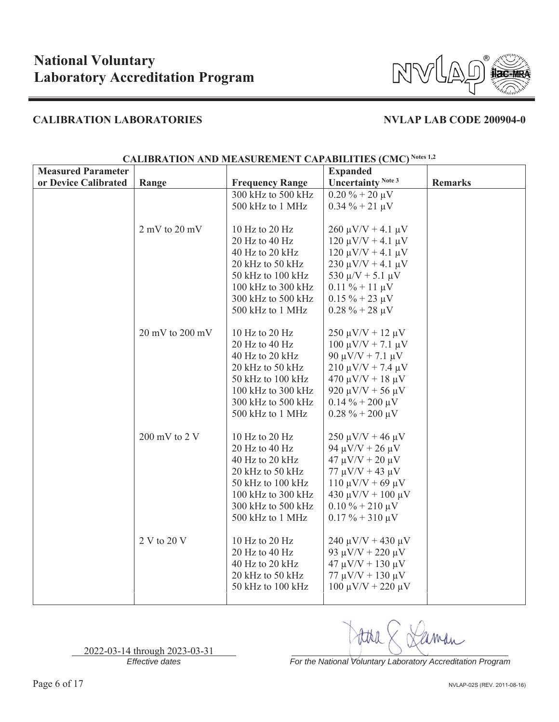

| <b>Measured Parameter</b> |                                     |                                     | <b>Expanded</b>             |                |
|---------------------------|-------------------------------------|-------------------------------------|-----------------------------|----------------|
| or Device Calibrated      | Range                               | <b>Frequency Range</b>              | <b>Uncertainty Note 3</b>   | <b>Remarks</b> |
|                           |                                     | 300 kHz to 500 kHz                  | $0.20\% + 20\,\mu\text{V}$  |                |
|                           |                                     | 500 kHz to 1 MHz                    | $0.34 \% + 21 \mu V$        |                |
|                           |                                     |                                     |                             |                |
|                           | $2$ mV to $20$ mV                   | 10 Hz to 20 Hz                      | $260 \mu V/V + 4.1 \mu V$   |                |
|                           |                                     | 20 Hz to 40 Hz                      | $120 \mu V/V + 4.1 \mu V$   |                |
|                           |                                     | 40 Hz to 20 kHz                     | $120 \mu V/V + 4.1 \mu V$   |                |
|                           |                                     | 20 kHz to 50 kHz                    | $230 \mu V/V + 4.1 \mu V$   |                |
|                           |                                     | 50 kHz to 100 kHz                   | 530 $\mu$ /V + 5.1 $\mu$ V  |                |
|                           |                                     | 100 kHz to 300 kHz                  | $0.11 \% + 11 \mu V$        |                |
|                           |                                     | 300 kHz to 500 kHz                  | $0.15 \% + 23 \mu V$        |                |
|                           |                                     | 500 kHz to 1 MHz                    | $0.28 \% + 28 \mu V$        |                |
|                           |                                     |                                     |                             |                |
|                           | $20 \text{ mV}$ to $200 \text{ mV}$ | 10 Hz to 20 Hz                      | $250 \mu V/V + 12 \mu V$    |                |
|                           |                                     | 20 Hz to 40 Hz                      | $100 \mu V/V + 7.1 \mu V$   |                |
|                           |                                     | 40 Hz to 20 kHz                     | 90 μV/V + 7.1 μV            |                |
|                           |                                     | 20 kHz to 50 kHz                    | $210 \mu V/V + 7.4 \mu V$   |                |
|                           |                                     | $50$ kHz to $100$ kHz               | $470 \mu V/V + 18 \mu V$    |                |
|                           |                                     | 100 kHz to 300 kHz                  | 920 $\mu$ V/V + 56 $\mu$ V  |                |
|                           |                                     | 300 kHz to 500 kHz                  | $0.14\% + 200 \mu V$        |                |
|                           |                                     | 500 kHz to 1 MHz                    | $0.28 \% + 200 \mu V$       |                |
|                           |                                     |                                     |                             |                |
|                           | $200 \text{ mV}$ to $2 \text{V}$    | 10 Hz to 20 Hz                      | $250 \mu V/V + 46 \mu V$    |                |
|                           |                                     | 20 Hz to 40 Hz                      | 94 $\mu$ V/V + 26 $\mu$ V   |                |
|                           |                                     | 40 Hz to 20 kHz                     | $47 \mu V/V + 20 \mu V$     |                |
|                           |                                     | 20 kHz to 50 kHz                    | $77 \mu V/V + 43 \mu V$     |                |
|                           |                                     | 50 kHz to 100 kHz                   | $110 \mu V/V + 69 \mu V$    |                |
|                           |                                     | 100 kHz to 300 kHz                  | 430 μV/V + 100 μV           |                |
|                           |                                     | 300 kHz to 500 kHz                  | $0.10\% + 210\,\mu\text{V}$ |                |
|                           |                                     | 500 kHz to 1 MHz                    | $0.17 \% + 310 \mu V$       |                |
|                           |                                     |                                     |                             |                |
|                           | 2 V to 20 V                         | 10 Hz to 20 Hz                      | $240 \mu V/V + 430 \mu V$   |                |
|                           |                                     | 20 Hz to 40 Hz                      | 93 $\mu$ V/V + 220 $\mu$ V  |                |
|                           |                                     | 40 Hz to 20 kHz<br>20 kHz to 50 kHz | $47 \mu V/V + 130 \mu V$    |                |
|                           |                                     | 50 kHz to 100 kHz                   | $77 \mu V/V + 130 \mu V$    |                |
|                           |                                     |                                     | $100 \mu V/V + 220 \mu V$   |                |

## **CALIBRATION AND MEASUREMENT CAPABILITIES (CMC) Notes 1,2**

*Effective dates For the National Voluntary Laboratory Accreditation Program*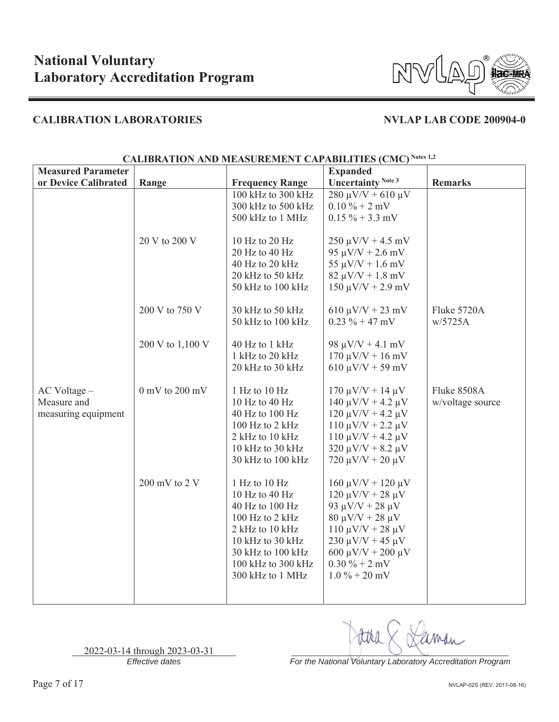

| <b>Measured Parameter</b>                          |                    |                                                                                                                                                                             | <b>Expanded</b>                                                                                                                                                                                                                  |                                 |
|----------------------------------------------------|--------------------|-----------------------------------------------------------------------------------------------------------------------------------------------------------------------------|----------------------------------------------------------------------------------------------------------------------------------------------------------------------------------------------------------------------------------|---------------------------------|
| or Device Calibrated                               | Range              | <b>Frequency Range</b>                                                                                                                                                      | Uncertainty Note 3                                                                                                                                                                                                               | <b>Remarks</b>                  |
|                                                    |                    | 100 kHz to 300 kHz                                                                                                                                                          | $280 \mu V/V + 610 \mu V$                                                                                                                                                                                                        |                                 |
|                                                    |                    | 300 kHz to 500 kHz                                                                                                                                                          | $0.10\% + 2$ mV                                                                                                                                                                                                                  |                                 |
|                                                    |                    | 500 kHz to 1 MHz                                                                                                                                                            | $0.15 \% + 3.3$ mV                                                                                                                                                                                                               |                                 |
|                                                    | 20 V to 200 V      | 10 Hz to 20 Hz<br>$20$ Hz to $40$ Hz                                                                                                                                        | $250 \mu V/V + 4.5 \ mV$<br>$95 \mu V/V + 2.6 \ mV$                                                                                                                                                                              |                                 |
|                                                    |                    | 40 Hz to 20 kHz                                                                                                                                                             | $55 \mu V/V + 1.6 \ mV$                                                                                                                                                                                                          |                                 |
|                                                    |                    | 20 kHz to 50 kHz                                                                                                                                                            | $82 \mu V/V + 1.8 \ mV$                                                                                                                                                                                                          |                                 |
|                                                    |                    | 50 kHz to 100 kHz                                                                                                                                                           | $150 \mu V/V + 2.9 \text{ mV}$                                                                                                                                                                                                   |                                 |
|                                                    | 200 V to 750 V     | 30 kHz to 50 kHz<br>50 kHz to 100 kHz                                                                                                                                       | $610 \mu V/V + 23 \mu V$<br>$0.23 \% + 47 mV$                                                                                                                                                                                    | Fluke 5720A<br>w/5725A          |
|                                                    | 200 V to 1,100 V   | 40 Hz to 1 kHz<br>1 kHz to 20 kHz<br>20 kHz to 30 kHz                                                                                                                       | 98 $\mu$ V/V + 4.1 mV<br>$170 \mu V/V + 16 \ mV$<br>$610 \mu V/V + 59 \mu V$                                                                                                                                                     |                                 |
| AC Voltage -<br>Measure and<br>measuring equipment | $0$ mV to $200$ mV | 1 Hz to 10 Hz<br>10 Hz to 40 Hz<br>40 Hz to 100 Hz<br>100 Hz to 2 kHz<br>2 kHz to 10 kHz<br>10 kHz to 30 kHz<br>30 kHz to 100 kHz                                           | $170 \mu V/V + 14 \mu V$<br>$140 \mu V/V + 4.2 \mu V$<br>$120 \mu V/V + 4.2 \mu V$<br>$110 \mu V/V + 2.2 \mu V$<br>$110 \mu V/V + 4.2 \mu V$<br>$320 \mu V/V + 8.2 \mu V$<br>$720 \mu V/V + 20 \mu V$                            | Fluke 8508A<br>w/voltage source |
|                                                    | 200 mV to 2 V      | 1 Hz to 10 Hz<br>10 Hz to 40 Hz<br>40 Hz to 100 Hz<br>100 Hz to 2 kHz<br>2 kHz to 10 kHz<br>10 kHz to 30 kHz<br>30 kHz to 100 kHz<br>100 kHz to 300 kHz<br>300 kHz to 1 MHz | $160 \mu V/V + 120 \mu V$<br>$120 \mu V/V + 28 \mu V$<br>93 μV/V + 28 μV<br>$80 \mu V/V + 28 \mu V$<br>$110 \mu V/V + 28 \mu V$<br>$230 \mu V/V + 45 \mu V$<br>600 $\mu$ V/V + 200 $\mu$ V<br>$0.30\% + 2$ mV<br>$1.0\% + 20$ mV |                                 |

## **CALIBRATION AND MEASUREMENT CAPABILITIES (CMC) Notes 1,2**

*Effective dates For the National Voluntary Laboratory Accreditation Program*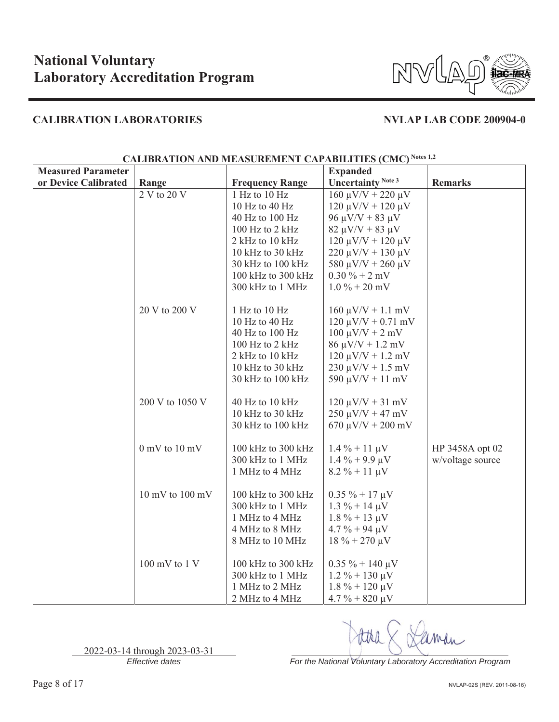

| <b>Measured Parameter</b> |                                     |                        | <b>Expanded</b>                 |                  |
|---------------------------|-------------------------------------|------------------------|---------------------------------|------------------|
| or Device Calibrated      | Range                               | <b>Frequency Range</b> | <b>Uncertainty Note 3</b>       | <b>Remarks</b>   |
|                           | 2 V to 20 V                         | 1 Hz to 10 Hz          | $160 \mu V/V + 220 \mu V$       |                  |
|                           |                                     | 10 Hz to 40 Hz         | $120 \mu V/V + 120 \mu V$       |                  |
|                           |                                     | 40 Hz to 100 Hz        | 96 μV/V + 83 μV                 |                  |
|                           |                                     | 100 Hz to 2 kHz        | $82 \mu V/V + 83 \mu V$         |                  |
|                           |                                     | 2 kHz to 10 kHz        | $120 \mu V/V + 120 \mu V$       |                  |
|                           |                                     | 10 kHz to 30 kHz       | $220 \mu V/V + 130 \mu V$       |                  |
|                           |                                     | 30 kHz to 100 kHz      | 580 $\mu$ V/V + 260 $\mu$ V     |                  |
|                           |                                     | 100 kHz to 300 kHz     | $0.30 \% + 2 mV$                |                  |
|                           |                                     | 300 kHz to 1 MHz       | $1.0\% + 20$ mV                 |                  |
|                           |                                     |                        |                                 |                  |
|                           | 20 V to 200 V                       | 1 Hz to 10 Hz          | $160 \mu V/V + 1.1 \ mV$        |                  |
|                           |                                     | 10 Hz to 40 Hz         | $120 \mu V/V + 0.71 \text{ mV}$ |                  |
|                           |                                     | 40 Hz to 100 Hz        | $100 \mu V/V + 2 \ mV$          |                  |
|                           |                                     | 100 Hz to 2 kHz        | $86 \mu V/V + 1.2 \ mV$         |                  |
|                           |                                     | 2 kHz to 10 kHz        | $120 \mu V/V + 1.2 \ mV$        |                  |
|                           |                                     | 10 kHz to 30 kHz       | $230 \mu V/V + 1.5 \ mV$        |                  |
|                           |                                     | 30 kHz to 100 kHz      | 590 $\mu$ V/V + 11 mV           |                  |
|                           |                                     |                        |                                 |                  |
|                           | 200 V to 1050 V                     | 40 Hz to 10 kHz        | $120 \mu V/V + 31 \ mV$         |                  |
|                           |                                     | 10 kHz to 30 kHz       | $250 \mu V/V + 47 \ mV$         |                  |
|                           |                                     | 30 kHz to 100 kHz      | $670 \mu V/V + 200 \mu V$       |                  |
|                           |                                     |                        |                                 |                  |
|                           | $0$ mV to $10$ mV                   | 100 kHz to 300 kHz     | $1.4\% + 11 \mu V$              | HP 3458A opt 02  |
|                           |                                     | 300 kHz to 1 MHz       | $1.4\% + 9.9\,\mu\text{V}$      | w/voltage source |
|                           |                                     | 1 MHz to 4 MHz         | $8.2 \% + 11 \mu V$             |                  |
|                           | $10 \text{ mV}$ to $100 \text{ mV}$ | 100 kHz to 300 kHz     | $0.35 \% + 17 \mu V$            |                  |
|                           |                                     | 300 kHz to 1 MHz       | $1.3 \% + 14 \mu V$             |                  |
|                           |                                     | 1 MHz to 4 MHz         | $1.8\% + 13 \mu V$              |                  |
|                           |                                     | 4 MHz to 8 MHz         | $4.7 \% + 94 \mu V$             |                  |
|                           |                                     | 8 MHz to 10 MHz        | $18 \% + 270 \mu V$             |                  |
|                           |                                     |                        |                                 |                  |
|                           | $100 \text{ mV}$ to $1 \text{V}$    | 100 kHz to 300 kHz     | $0.35 \% + 140 \mu V$           |                  |
|                           |                                     | 300 kHz to 1 MHz       | $1.2\% + 130 \mu V$             |                  |
|                           |                                     | 1 MHz to 2 MHz         | $1.8\% + 120 \,\mu\text{V}$     |                  |
|                           |                                     | 2 MHz to 4 MHz         | $4.7\% + 820 \,\mu\text{V}$     |                  |

## **CALIBRATION AND MEASUREMENT CAPABILITIES (CMC) Notes 1,2**

2022-03-14 through 2023-03-31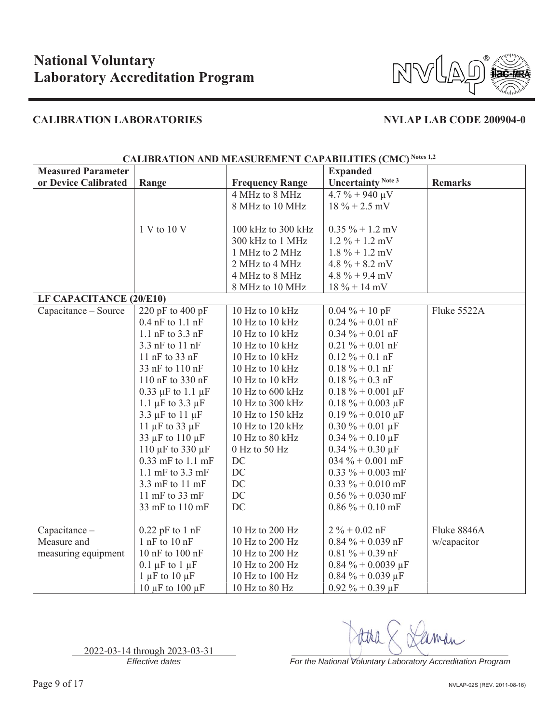

| <b>Measured Parameter</b> |                             |                        | <b>Expanded</b>           |                |
|---------------------------|-----------------------------|------------------------|---------------------------|----------------|
| or Device Calibrated      | Range                       | <b>Frequency Range</b> | <b>Uncertainty Note 3</b> | <b>Remarks</b> |
|                           |                             | 4 MHz to 8 MHz         | $4.7\% + 940 \mu V$       |                |
|                           |                             | 8 MHz to 10 MHz        | $18\% + 2.5$ mV           |                |
|                           |                             |                        |                           |                |
|                           | 1 V to 10 V                 | 100 kHz to 300 kHz     | $0.35 \% + 1.2$ mV        |                |
|                           |                             | 300 kHz to 1 MHz       | $1.2\% + 1.2$ mV          |                |
|                           |                             | 1 MHz to 2 MHz         | $1.8\% + 1.2$ mV          |                |
|                           |                             | 2 MHz to 4 MHz         | $4.8\% + 8.2$ mV          |                |
|                           |                             | 4 MHz to 8 MHz         | $4.8\% + 9.4$ mV          |                |
|                           |                             | 8 MHz to 10 MHz        | $18 \% + 14 mV$           |                |
| LF CAPACITANCE (20/E10)   |                             |                        |                           |                |
| Capacitance - Source      | 220 pF to 400 pF            | 10 Hz to 10 kHz        | $0.04 \% + 10 pF$         | Fluke 5522A    |
|                           | $0.4$ nF to $1.1$ nF        | 10 Hz to 10 kHz        | $0.24 \% + 0.01$ nF       |                |
|                           | 1.1 $nF$ to 3.3 $nF$        | 10 Hz to 10 kHz        | $0.34 \% + 0.01$ nF       |                |
|                           | 3.3 nF to 11 nF             | 10 Hz to 10 kHz        | $0.21 \% + 0.01 nF$       |                |
|                           | 11 nF to 33 nF              | 10 Hz to 10 kHz        | $0.12 \% + 0.1 nF$        |                |
|                           | 33 nF to 110 nF             | 10 Hz to 10 kHz        | $0.18 \% + 0.1 nF$        |                |
|                           | 110 nF to 330 nF            | 10 Hz to 10 kHz        | $0.18 \% + 0.3 nF$        |                |
|                           | $0.33 \mu F$ to $1.1 \mu F$ | 10 Hz to 600 kHz       | $0.18 \% + 0.001 \mu F$   |                |
|                           | 1.1 $\mu$ F to 3.3 $\mu$ F  | 10 Hz to 300 kHz       | $0.18 \% + 0.003 \mu F$   |                |
|                           | 3.3 $\mu$ F to 11 $\mu$ F   | 10 Hz to 150 kHz       | $0.19 \% + 0.010 \mu F$   |                |
|                           | 11 $\mu$ F to 33 $\mu$ F    | 10 Hz to 120 kHz       | $0.30\% + 0.01 \,\mu F$   |                |
|                           | 33 µF to 110 µF             | 10 Hz to 80 kHz        | $0.34 \% + 0.10 \mu F$    |                |
|                           | 110 $\mu$ F to 330 $\mu$ F  | 0 Hz to 50 Hz          | $0.34 \% + 0.30 \mu F$    |                |
|                           | 0.33 mF to 1.1 mF           | DC                     | 034 % + 0.001 mF          |                |
|                           | 1.1 mF to $3.3$ mF          | DC                     | $0.33 \% + 0.003$ mF      |                |
|                           | 3.3 mF to 11 mF             | DC                     | $0.33 \% + 0.010$ mF      |                |
|                           | 11 mF to 33 mF              | DC                     | $0.56\% + 0.030$ mF       |                |
|                           | 33 mF to 110 mF             | DC                     | $0.86\% + 0.10$ mF        |                |
|                           |                             |                        |                           |                |
| Capacitance -             | $0.22$ pF to 1 nF           | 10 Hz to 200 Hz        | $2\% + 0.02$ nF           | Fluke 8846A    |
| Measure and               | $1$ nF to $10$ nF           | 10 Hz to 200 Hz        | $0.84\% + 0.039$ nF       | w/capacitor    |
| measuring equipment       | 10 nF to 100 nF             | 10 Hz to 200 Hz        | $0.81 \% + 0.39$ nF       |                |
|                           | $0.1 \mu F$ to $1 \mu F$    | 10 Hz to 200 Hz        | $0.84 \% + 0.0039 \mu F$  |                |
|                           | 1 $\mu$ F to 10 $\mu$ F     | 10 Hz to 100 Hz        | $0.84\% + 0.039 \,\mu F$  |                |
|                           | 10 $\mu$ F to 100 $\mu$ F   | 10 Hz to 80 Hz         | $0.92\% + 0.39 \,\mu F$   |                |

## **CALIBRATION AND MEASUREMENT CAPABILITIES (CMC) Notes 1,2**

*Effective dates For the National Voluntary Laboratory Accreditation Program*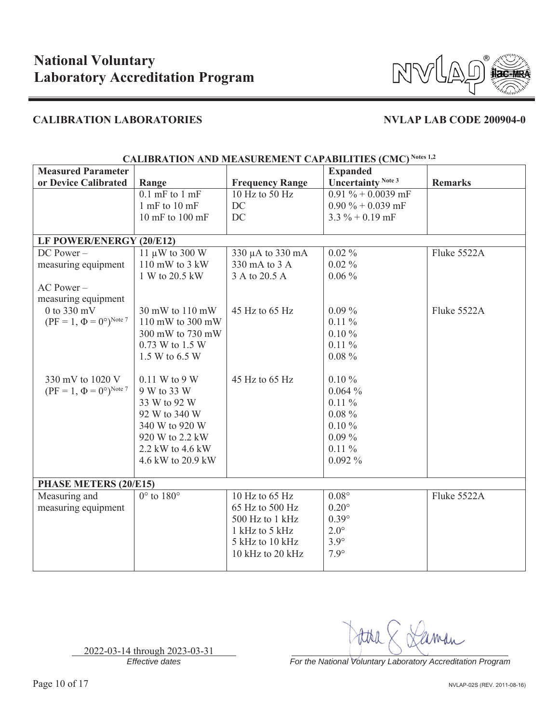

| <b>Measured Parameter</b>                     |                                     | CALIDIVATION AND MERIOUREMENT CALIMDIELIES (CMC) |                                 |                |
|-----------------------------------------------|-------------------------------------|--------------------------------------------------|---------------------------------|----------------|
|                                               |                                     |                                                  | <b>Expanded</b>                 |                |
| or Device Calibrated                          | Range                               | <b>Frequency Range</b>                           | <b>Uncertainty Note 3</b>       | <b>Remarks</b> |
|                                               | $0.1$ mF to $1$ mF                  | 10 Hz to 50 Hz                                   | $\overline{0.91\% + 0.0039}$ mF |                |
|                                               | $1$ mF to $10$ mF                   | DC                                               | $0.90\% + 0.039$ mF             |                |
|                                               | $10 \text{ mF}$ to $100 \text{ mF}$ | DC                                               | $3.3\% + 0.19$ mF               |                |
|                                               |                                     |                                                  |                                 |                |
| LF POWER/ENERGY (20/E12)                      |                                     |                                                  |                                 |                |
| $DC Power -$                                  | $11 \mu W$ to 300 W                 | 330 µA to 330 mA                                 | $0.02\%$                        | Fluke 5522A    |
| measuring equipment                           | 110 mW to 3 kW                      | 330 mA to 3 A                                    | $0.02\%$                        |                |
|                                               | 1 W to 20.5 kW                      | 3 A to 20.5 A                                    | $0.06\%$                        |                |
| AC Power-                                     |                                     |                                                  |                                 |                |
| measuring equipment                           |                                     |                                                  |                                 |                |
| $0$ to 330 mV                                 | 30 mW to 110 mW                     | 45 Hz to 65 Hz                                   | $0.09\%$                        | Fluke 5522A    |
| $(PF = 1, \Phi = 0^{\circ})^{\text{Note } 7}$ | 110 mW to 300 mW                    |                                                  | $0.11\%$                        |                |
|                                               | 300 mW to 730 mW                    |                                                  | 0.10%                           |                |
|                                               | 0.73 W to 1.5 W                     |                                                  | $0.11\%$                        |                |
|                                               | 1.5 W to 6.5 W                      |                                                  | $0.08 \%$                       |                |
|                                               |                                     |                                                  |                                 |                |
| 330 mV to 1020 V                              | 0.11 W to 9 W                       | 45 Hz to 65 Hz                                   | $0.10 \%$                       |                |
| $(PF = 1, \Phi = 0^{\circ})^{\text{Note } 7}$ | 9 W to 33 W                         |                                                  | 0.064%                          |                |
|                                               | 33 W to 92 W                        |                                                  | $0.11\%$                        |                |
|                                               | 92 W to 340 W                       |                                                  | $0.08 \%$                       |                |
|                                               | 340 W to 920 W                      |                                                  | 0.10%                           |                |
|                                               | 920 W to 2.2 kW                     |                                                  | $0.09\%$                        |                |
|                                               |                                     |                                                  |                                 |                |
|                                               | 2.2 kW to 4.6 kW                    |                                                  | $0.11\%$                        |                |
|                                               | 4.6 kW to 20.9 kW                   |                                                  | $0.092\%$                       |                |
| PHASE METERS (20/E15)                         |                                     |                                                  |                                 |                |
| Measuring and                                 | $0^\circ$ to $180^\circ$            | 10 Hz to 65 Hz                                   | $0.08^\circ$                    | Fluke 5522A    |
| measuring equipment                           |                                     | 65 Hz to 500 Hz                                  | $0.20^\circ$                    |                |
|                                               |                                     | 500 Hz to 1 kHz                                  | $0.39^\circ$                    |                |
|                                               |                                     | 1 kHz to 5 kHz                                   | $2.0^\circ$                     |                |
|                                               |                                     | 5 kHz to 10 kHz                                  | $3.9^\circ$                     |                |
|                                               |                                     |                                                  |                                 |                |
|                                               |                                     | 10 kHz to 20 kHz                                 | $7.9^\circ$                     |                |
|                                               |                                     |                                                  |                                 |                |

### CALIBRATION AND MEASUREMENT CAPABILITIES (CMC) Notes 1,2

2022-03-14 through 2023-03-31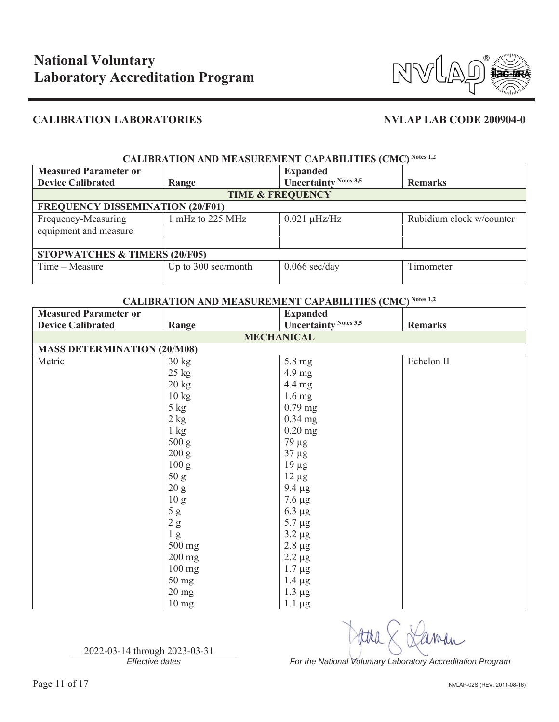

| <b>CALIBRATION AND MEASUREMENT CAPABILITIES (CMC) Notes 1,2</b> |                     |                              |                          |
|-----------------------------------------------------------------|---------------------|------------------------------|--------------------------|
| <b>Measured Parameter or</b>                                    |                     | <b>Expanded</b>              |                          |
| <b>Device Calibrated</b>                                        | Range               | <b>Uncertainty Notes 3,5</b> | <b>Remarks</b>           |
| <b>TIME &amp; FREQUENCY</b>                                     |                     |                              |                          |
| <b>FREQUENCY DISSEMINATION (20/F01)</b>                         |                     |                              |                          |
| Frequency-Measuring                                             | 1 mHz to 225 MHz    | $0.021 \mu$ Hz/Hz            | Rubidium clock w/counter |
| equipment and measure                                           |                     |                              |                          |
|                                                                 |                     |                              |                          |
| <b>STOPWATCHES &amp; TIMERS (20/F05)</b>                        |                     |                              |                          |
| Time – Measure                                                  | Up to 300 sec/month | $0.066$ sec/day              | Timometer                |
|                                                                 |                     |                              |                          |

## **CALIBRATION AND MEASUREMENT CAPABILITIES (CMC) Notes 1,2**

| <b>Measured Parameter or</b>       |                 | <b>Expanded</b>              |                |  |
|------------------------------------|-----------------|------------------------------|----------------|--|
| <b>Device Calibrated</b>           | Range           | <b>Uncertainty Notes 3,5</b> | <b>Remarks</b> |  |
| <b>MECHANICAL</b>                  |                 |                              |                |  |
| <b>MASS DETERMINATION (20/M08)</b> |                 |                              |                |  |
| Metric                             | $30 \text{ kg}$ | 5.8 mg                       | Echelon II     |  |
|                                    | $25 \text{ kg}$ | 4.9 mg                       |                |  |
|                                    | $20 \text{ kg}$ | 4.4 mg                       |                |  |
|                                    | 10 kg           | $1.6 \text{ mg}$             |                |  |
|                                    | 5 kg            | $0.79$ mg                    |                |  |
|                                    | $2$ kg          | 0.34 mg                      |                |  |
|                                    | $1 \text{ kg}$  | $0.20$ mg                    |                |  |
|                                    | 500 g           | $79 \mu g$                   |                |  |
|                                    | 200 g           | $37 \mu g$                   |                |  |
|                                    | 100 g           | $19 \mu g$                   |                |  |
|                                    | 50 g            | $12 \mu g$                   |                |  |
|                                    | 20 g            | $9.4 \mu g$                  |                |  |
|                                    | 10 <sub>g</sub> | $7.6 \mu g$                  |                |  |
|                                    | 5g              | $6.3 \mu g$                  |                |  |
|                                    | 2 g             | $5.7 \mu g$                  |                |  |
|                                    | 1 <sub>g</sub>  | $3.2 \mu g$                  |                |  |
|                                    | 500 mg          | $2.8~\mu g$                  |                |  |
|                                    | 200 mg          | $2.2 \mu g$                  |                |  |
|                                    | $100$ mg        | $1.7 \mu g$                  |                |  |
|                                    | 50 mg           | $1.4 \mu g$                  |                |  |
|                                    | $20$ mg         | $1.3 \mu g$                  |                |  |
|                                    | $10 \text{ mg}$ | $1.1 \mu g$                  |                |  |

2022-03-14 through 2023-03-31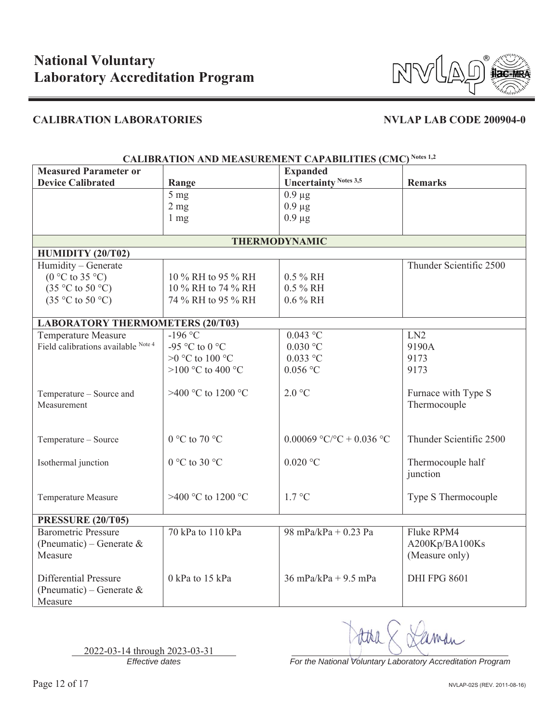

| CALIBRATION AND MEASUREMENT CAPABILITIES (CMC) |                    |                              |                         |  |
|------------------------------------------------|--------------------|------------------------------|-------------------------|--|
| <b>Measured Parameter or</b>                   |                    | <b>Expanded</b>              |                         |  |
| <b>Device Calibrated</b>                       | Range              | <b>Uncertainty Notes 3,5</b> | <b>Remarks</b>          |  |
|                                                | 5 <sub>mg</sub>    | $0.9 \mu g$                  |                         |  |
|                                                | 2 <sub>mg</sub>    | $0.9 \mu g$                  |                         |  |
|                                                | $1 \text{ mg}$     | $0.9 \mu g$                  |                         |  |
|                                                |                    |                              |                         |  |
|                                                |                    | <b>THERMODYNAMIC</b>         |                         |  |
| HUMIDITY (20/T02)                              |                    |                              |                         |  |
| Humidity - Generate                            |                    |                              | Thunder Scientific 2500 |  |
| $(0 °C)$ to 35 °C)                             | 10 % RH to 95 % RH | $0.5 \% RH$                  |                         |  |
| $(35 \degree C \text{ to } 50 \degree C)$      | 10 % RH to 74 % RH | $0.5 \% RH$                  |                         |  |
| $(35 \degree C \text{ to } 50 \degree C)$      | 74 % RH to 95 % RH | $0.6\%$ RH                   |                         |  |
|                                                |                    |                              |                         |  |
| <b>LABORATORY THERMOMETERS (20/T03)</b>        |                    |                              |                         |  |
| Temperature Measure                            | $-196$ °C          | $0.043$ °C                   | LN <sub>2</sub>         |  |
| Field calibrations available Note 4            | -95 °C to 0 °C     | $0.030$ °C                   | 9190A                   |  |
|                                                | $>0$ °C to 100 °C  | $0.033$ °C                   | 9173                    |  |
|                                                | >100 °C to 400 °C  | $0.056$ °C                   | 9173                    |  |
|                                                |                    |                              |                         |  |
| Temperature - Source and                       | >400 °C to 1200 °C | 2.0 °C                       | Furnace with Type S     |  |
| Measurement                                    |                    |                              | Thermocouple            |  |
|                                                |                    |                              |                         |  |
|                                                |                    |                              |                         |  |
| Temperature - Source                           | 0 °C to 70 °C      | 0.00069 °C/°C + 0.036 °C     | Thunder Scientific 2500 |  |
|                                                |                    |                              |                         |  |
| Isothermal junction                            | $0 °C$ to 30 °C    | $0.020$ °C                   | Thermocouple half       |  |
|                                                |                    |                              | junction                |  |
|                                                |                    |                              |                         |  |
| Temperature Measure                            | >400 °C to 1200 °C | $1.7 \text{ °C}$             | Type S Thermocouple     |  |
|                                                |                    |                              |                         |  |
| <b>PRESSURE (20/T05)</b>                       |                    |                              |                         |  |
| <b>Barometric Pressure</b>                     | 70 kPa to 110 kPa  | 98 mPa/kPa + 0.23 Pa         | Fluke RPM4              |  |
| (Pneumatic) – Generate &                       |                    |                              | A200Kp/BA100Ks          |  |
| Measure                                        |                    |                              | (Measure only)          |  |
|                                                |                    |                              |                         |  |
| <b>Differential Pressure</b>                   | 0 kPa to 15 kPa    | $36$ mPa/kPa + 9.5 mPa       | <b>DHI FPG 8601</b>     |  |
| (Pneumatic) – Generate &                       |                    |                              |                         |  |
| Measure                                        |                    |                              |                         |  |

**CALIBRATION AND MEASUREMENT CAPABILITIES (CMC) Notes 1,2** 

2022-03-14 through 2023-03-31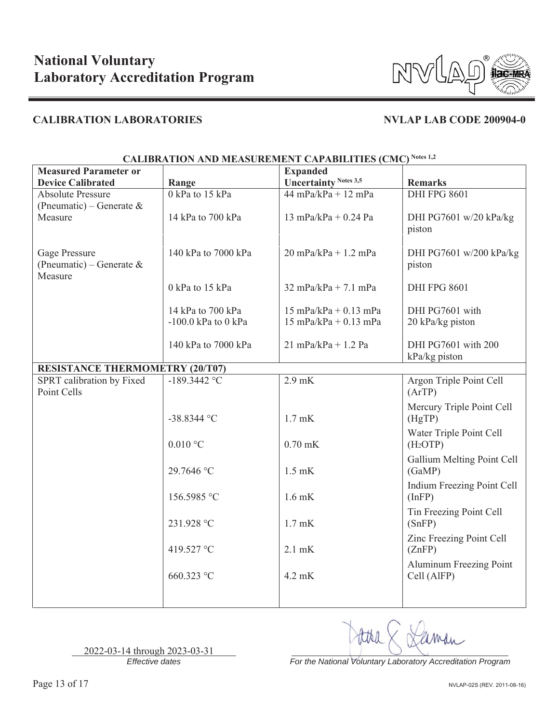

| CALIDNATION AND MEASUNEMENT CATADILITIES (CMC)       |                                            |                                                    |                                                 |  |
|------------------------------------------------------|--------------------------------------------|----------------------------------------------------|-------------------------------------------------|--|
| <b>Measured Parameter or</b>                         |                                            | <b>Expanded</b>                                    |                                                 |  |
| <b>Device Calibrated</b>                             | Range                                      | <b>Uncertainty Notes 3,5</b>                       | <b>Remarks</b>                                  |  |
| <b>Absolute Pressure</b>                             | 0 kPa to 15 kPa                            | $44$ mPa/kPa + 12 mPa                              | <b>DHI FPG 8601</b>                             |  |
| (Pneumatic) – Generate &<br>Measure                  | 14 kPa to 700 kPa                          | 13 mPa/kPa + $0.24$ Pa                             | DHI PG7601 w/20 kPa/kg<br>piston                |  |
| Gage Pressure<br>(Pneumatic) – Generate &<br>Measure | 140 kPa to 7000 kPa                        | $20$ mPa/kPa + 1.2 mPa                             | DHI PG7601 w/200 kPa/kg<br>piston               |  |
|                                                      | 0 kPa to 15 kPa                            | $32 \text{ mPa/kPa} + 7.1 \text{ mPa}$             | <b>DHI FPG 8601</b>                             |  |
|                                                      | 14 kPa to 700 kPa<br>-100.0 kPa to $0$ kPa | $15$ mPa/kPa + 0.13 mPa<br>$15$ mPa/kPa + 0.13 mPa | DHI PG7601 with<br>20 kPa/kg piston             |  |
|                                                      | 140 kPa to 7000 kPa                        | $21$ mPa/kPa + 1.2 Pa                              | DHI PG7601 with 200<br>kPa/kg piston            |  |
| <b>RESISTANCE THERMOMETRY (20/T07)</b>               |                                            |                                                    |                                                 |  |
| SPRT calibration by Fixed<br>Point Cells             | $-189.3442$ °C                             | $2.9$ mK                                           | Argon Triple Point Cell<br>(ArTP)               |  |
|                                                      | $-38.8344$ °C                              | $1.7$ mK                                           | Mercury Triple Point Cell<br>(HgTP)             |  |
|                                                      | $0.010$ °C                                 | $0.70$ mK                                          | Water Triple Point Cell<br>(H <sub>2</sub> OTP) |  |
|                                                      | 29.7646 °C                                 | $1.5$ mK                                           | Gallium Melting Point Cell<br>(GaMP)            |  |
|                                                      | 156.5985 °C                                | $1.6$ mK                                           | Indium Freezing Point Cell<br>(InfP)            |  |
|                                                      | 231.928 °C                                 | $1.7$ mK                                           | Tin Freezing Point Cell<br>(SnFP)               |  |
|                                                      | 419.527 °C                                 | $2.1$ mK                                           | Zinc Freezing Point Cell<br>(ZnFP)              |  |
|                                                      | 660.323 °C                                 | 4.2 mK                                             | Aluminum Freezing Point<br>Cell (AlFP)          |  |
|                                                      |                                            |                                                    |                                                 |  |

**CALIBRATION AND MEASUREMENT CAPABILITIES (CMC) Notes 1,2**

2022-03-14 through 2023-03-31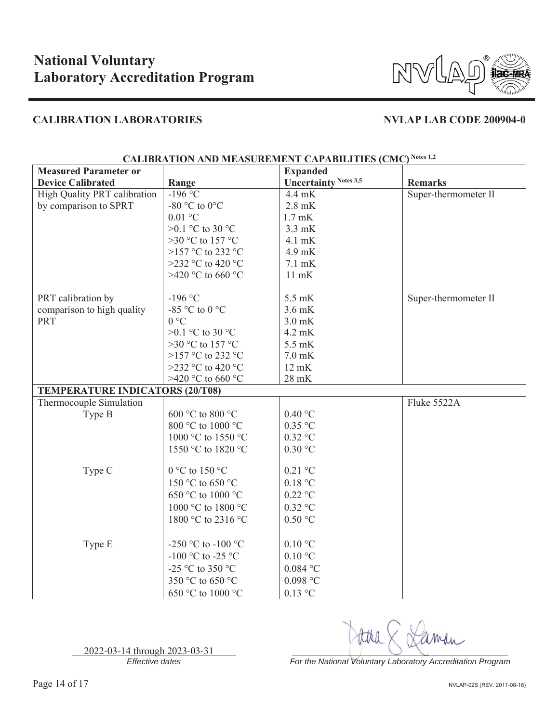

| <b>Measured Parameter or</b>           |                    | <b>Expanded</b>              |                      |
|----------------------------------------|--------------------|------------------------------|----------------------|
| <b>Device Calibrated</b>               | Range              | <b>Uncertainty Notes 3,5</b> | <b>Remarks</b>       |
| High Quality PRT calibration           | $-196$ °C          | $4.4 \text{ mK}$             | Super-thermometer II |
| by comparison to SPRT                  | -80 °C to 0°C      | $2.8$ mK                     |                      |
|                                        | $0.01$ °C          | $1.7$ mK                     |                      |
|                                        | >0.1 °C to 30 °C   | $3.3$ mK                     |                      |
|                                        | >30 °C to 157 °C   | 4.1 mK                       |                      |
|                                        | >157 °C to 232 °C  | 4.9 mK                       |                      |
|                                        | >232 °C to 420 °C  | $7.1 \text{ mK}$             |                      |
|                                        | >420 °C to 660 °C  | $11$ mK                      |                      |
| PRT calibration by                     | $-196$ °C          | 5.5 mK                       | Super-thermometer II |
| comparison to high quality             | -85 °C to 0 °C     | $3.6$ mK                     |                      |
| <b>PRT</b>                             | $0^{\circ}C$       | $3.0$ mK                     |                      |
|                                        | >0.1 °C to 30 °C   | 4.2 mK                       |                      |
|                                        | >30 °C to 157 °C   | 5.5 mK                       |                      |
|                                        | >157 °C to 232 °C  | $7.0$ mK                     |                      |
|                                        | >232 °C to 420 °C  | $12 \text{ mK}$              |                      |
|                                        | >420 °C to 660 °C  | $28$ mK                      |                      |
| <b>TEMPERATURE INDICATORS (20/T08)</b> |                    |                              |                      |
| Thermocouple Simulation                |                    |                              | Fluke 5522A          |
| Type B                                 | 600 °C to 800 °C   | 0.40 °C                      |                      |
|                                        | 800 °C to 1000 °C  | $0.35$ °C                    |                      |
|                                        | 1000 °C to 1550 °C | $0.32$ °C                    |                      |
|                                        | 1550 °C to 1820 °C | 0.30 °C                      |                      |
|                                        |                    |                              |                      |
| Type C                                 | 0 °C to 150 °C     | $0.21$ °C                    |                      |
|                                        | 150 °C to 650 °C   | 0.18 °C                      |                      |
|                                        | 650 °C to 1000 °C  | $0.22$ °C                    |                      |
|                                        | 1000 °C to 1800 °C | $0.32$ °C                    |                      |
|                                        | 1800 °C to 2316 °C | 0.50 °C                      |                      |
|                                        |                    |                              |                      |
| Type E                                 | -250 °C to -100 °C | $0.10\text{ °C}$             |                      |
|                                        | -100 °C to -25 °C  | $0.10\text{ °C}$             |                      |
|                                        | -25 °C to 350 °C   | $0.084$ °C                   |                      |
|                                        | 350 °C to 650 °C   | $0.098$ $^{\circ}$ C         |                      |
|                                        | 650 °C to 1000 °C  | $0.13$ °C                    |                      |

## **CALIBRATION AND MEASUREMENT CAPABILITIES (CMC) Notes 1,2**

*Effective dates For the National Voluntary Laboratory Accreditation Program*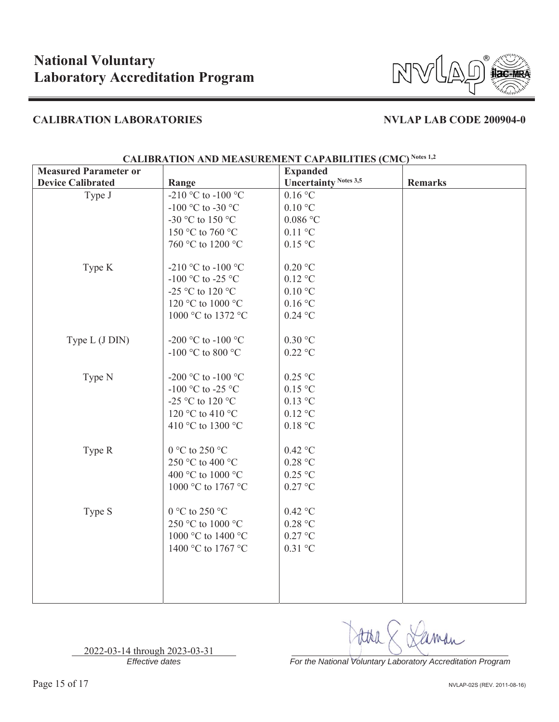

| <b>Measured Parameter or</b> |                    | <b>Expanded</b>              |                |
|------------------------------|--------------------|------------------------------|----------------|
| <b>Device Calibrated</b>     | Range              | <b>Uncertainty Notes 3,5</b> | <b>Remarks</b> |
| Type J                       | -210 °C to -100 °C | 0.16 °C                      |                |
|                              | -100 °C to -30 °C  | 0.10 °C                      |                |
|                              | -30 °C to 150 °C   | $0.086$ °C                   |                |
|                              | 150 °C to 760 °C   | $0.11$ °C                    |                |
|                              | 760 °C to 1200 °C  | 0.15 °C                      |                |
| Type K                       | -210 °C to -100 °C | $0.20\ ^{\circ}\textrm{C}$   |                |
|                              | -100 °C to -25 °C  | $0.12$ °C                    |                |
|                              | -25 °C to 120 °C   | $0.10\ ^{\circ}\mathrm{C}$   |                |
|                              | 120 °C to 1000 °C  | 0.16 °C                      |                |
|                              | 1000 °C to 1372 °C | $0.24$ °C                    |                |
| Type L (J DIN)               | -200 °C to -100 °C | 0.30 °C                      |                |
|                              | -100 °C to 800 °C  | $0.22\ ^\circ\rm{C}$         |                |
| Type N                       | -200 °C to -100 °C | $0.25$ °C                    |                |
|                              | -100 °C to -25 °C  | $0.15\,^{\circ}\mathrm{C}$   |                |
|                              | -25 °C to 120 °C   | $0.13$ °C                    |                |
|                              | 120 °C to 410 °C   | $0.12\ ^{\circ}\textrm{C}$   |                |
|                              | 410 °C to 1300 °C  | $0.18\ ^{\circ}\mathrm{C}$   |                |
| Type R                       | 0 °C to 250 °C     | $0.42$ °C                    |                |
|                              | 250 °C to 400 °C   | $0.28\ ^{\circ}\mathrm{C}$   |                |
|                              | 400 °C to 1000 °C  | $0.25\ ^{\circ}\mathrm{C}$   |                |
|                              | 1000 °C to 1767 °C | $0.27\ ^{\circ}\textrm{C}$   |                |
| Type S                       | 0 °C to 250 °C     | $0.42$ °C                    |                |
|                              | 250 °C to 1000 °C  | 0.28 °C                      |                |
|                              | 1000 °C to 1400 °C | $0.27\,^{\circ}\mathrm{C}$   |                |
|                              | 1400 °C to 1767 °C | $0.31$ °C                    |                |
|                              |                    |                              |                |
|                              |                    |                              |                |
|                              |                    |                              |                |
|                              |                    |                              |                |

## **CALIBRATION AND MEASUREMENT CAPABILITIES (CMC) Notes 1,2**

2022-03-14 through 2023-03-31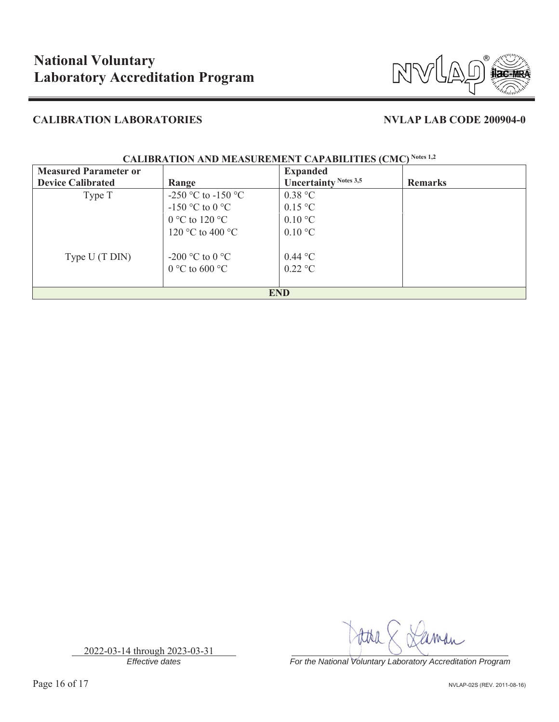

| <b>Measured Parameter or</b> |                                   | <b>Expanded</b>              |                |
|------------------------------|-----------------------------------|------------------------------|----------------|
| <b>Device Calibrated</b>     | Range                             | <b>Uncertainty Notes 3,5</b> | <b>Remarks</b> |
| Type T                       | -250 °C to -150 °C                | 0.38 °C                      |                |
|                              | -150 °C to 0 °C                   | $0.15 \text{ °C}$            |                |
|                              | $0^{\circ}$ C to 120 $^{\circ}$ C | $0.10\text{ °C}$             |                |
|                              | 120 °C to 400 °C                  | $0.10\text{ °C}$             |                |
| Type U (T DIN)               | -200 °C to 0 °C                   | $0.44 \text{ °C}$            |                |
|                              | $0^{\circ}$ C to 600 $^{\circ}$ C | $0.22 \text{ °C}$            |                |
| <b>END</b>                   |                                   |                              |                |

### **CALIBRATION AND MEASUREMENT CAPABILITIES (CMC) Notes 1,2**

2022-03-14 through 2023-03-31